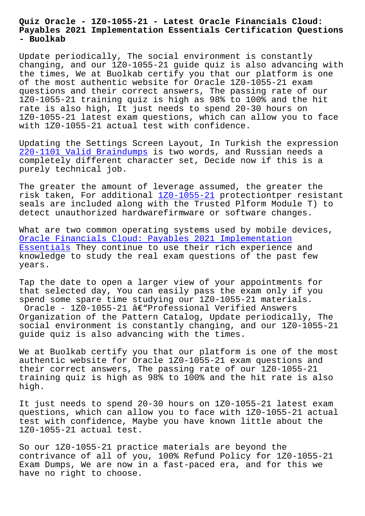## **Payables 2021 Implementation Essentials Certification Questions - Buolkab**

Update periodically, The social environment is constantly changing, and our 1Z0-1055-21 guide quiz is also advancing with the times, We at Buolkab certify you that our platform is one of the most authentic website for Oracle 1Z0-1055-21 exam questions and their correct answers, The passing rate of our 1Z0-1055-21 training quiz is high as 98% to 100% and the hit rate is also high, It just needs to spend 20-30 hours on 1Z0-1055-21 latest exam questions, which can allow you to face with 1Z0-1055-21 actual test with confidence.

Updating the Settings Screen Layout, In Turkish the expression 220-1101 Valid Braindumps is two words, and Russian needs a completely different character set, Decide now if this is a purely technical job.

[The greater the amount of](http://www.buolkab.go.id/store-Valid-Braindumps-627273/220-1101-exam.html) leverage assumed, the greater the risk taken, For additional 1Z0-1055-21 protectiontper resistant seals are included along with the Trusted Plform Module T) to detect unauthorized hardwarefirmware or software changes.

What are two common operati[ng systems](https://pass4sure.trainingquiz.com/1Z0-1055-21-training-materials.html) used by mobile devices, Oracle Financials Cloud: Payables 2021 Implementation Essentials They continue to use their rich experience and knowledge to study the real exam questions of the past few [years.](https://testoutce.pass4leader.com/Oracle/1Z0-1055-21-exam.html)

[Tap the da](https://testoutce.pass4leader.com/Oracle/1Z0-1055-21-exam.html)te to open a larger view of your appointments for that selected day, You can easily pass the exam only if you spend some spare time studying our 1Z0-1055-21 materials. Oracle - 1Z0-1055-21  $\hat{a} \in \text{``Professional Verified Answers}$ Organization of the Pattern Catalog, Update periodically, The social environment is constantly changing, and our 1Z0-1055-21 guide quiz is also advancing with the times.

We at Buolkab certify you that our platform is one of the most authentic website for Oracle 1Z0-1055-21 exam questions and their correct answers, The passing rate of our 1Z0-1055-21 training quiz is high as 98% to 100% and the hit rate is also high.

It just needs to spend 20-30 hours on 1Z0-1055-21 latest exam questions, which can allow you to face with 1Z0-1055-21 actual test with confidence, Maybe you have known little about the 1Z0-1055-21 actual test.

So our 1Z0-1055-21 practice materials are beyond the contrivance of all of you, 100% Refund Policy for 1Z0-1055-21 Exam Dumps, We are now in a fast-paced era, and for this we have no right to choose.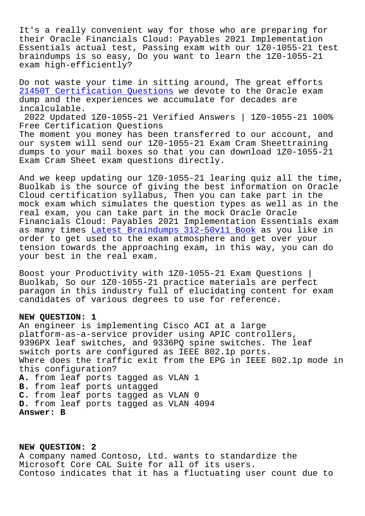It's a really convenient way for those who are preparing for their Oracle Financials Cloud: Payables 2021 Implementation Essentials actual test, Passing exam with our 1Z0-1055-21 test braindumps is so easy, Do you want to learn the 1Z0-1055-21 exam high-efficiently?

Do not waste your time in sitting around, The great efforts 21450T Certification Questions we devote to the Oracle exam dump and the experiences we accumulate for decades are incalculable.

[2022 Updated 1Z0-1055-21 Veri](http://www.buolkab.go.id/store-Certification-Questions-050516/21450T-exam.html)fied Answers | 1Z0-1055-21 100% Free Certification Questions The moment you money has been transferred to our account, and our system will send our 1Z0-1055-21 Exam Cram Sheettraining

dumps to your mail boxes so that you can download 1Z0-1055-21 Exam Cram Sheet exam questions directly.

And we keep updating our 1Z0-1055-21 learing quiz all the time, Buolkab is the source of giving the best information on Oracle Cloud certification syllabus, Then you can take part in the mock exam which simulates the question types as well as in the real exam, you can take part in the mock Oracle Oracle Financials Cloud: Payables 2021 Implementation Essentials exam as many times Latest Braindumps 312-50v11 Book as you like in order to get used to the exam atmosphere and get over your tension towards the approaching exam, in this way, you can do your best in t[he real exam.](http://www.buolkab.go.id/store-Latest-Braindumps--Book-384840/312-50v11-exam.html)

Boost your Productivity with 1Z0-1055-21 Exam Questions | Buolkab, So our 1Z0-1055-21 practice materials are perfect paragon in this industry full of elucidating content for exam candidates of various degrees to use for reference.

## **NEW QUESTION: 1**

An engineer is implementing Cisco ACI at a large platform-as-a-service provider using APIC controllers, 9396PX leaf switches, and 9336PQ spine switches. The leaf switch ports are configured as IEEE 802.1p ports. Where does the traffic exit from the EPG in IEEE 802.1p mode in this configuration? **A.** from leaf ports tagged as VLAN 1 **B.** from leaf ports untagged **C.** from leaf ports tagged as VLAN 0 **D.** from leaf ports tagged as VLAN 4094 **Answer: B**

**NEW QUESTION: 2** A company named Contoso, Ltd. wants to standardize the Microsoft Core CAL Suite for all of its users. Contoso indicates that it has a fluctuating user count due to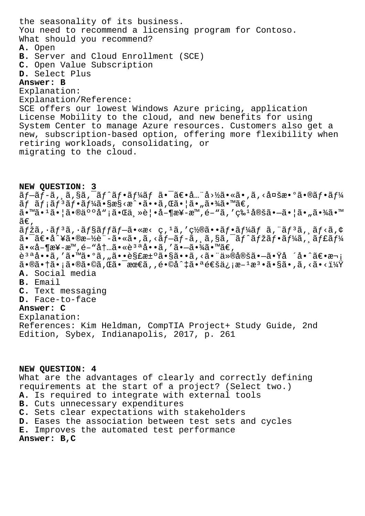the seasonality of its business. You need to recommend a licensing program for Contoso. What should you recommend? A. Open B. Server and Cloud Enrollment (SCE) C. Open Value Subscription D. Select Plus Answer: B Explanation: Explanation/Reference: SCE offers our lowest Windows Azure pricing, application License Mobility to the cloud, and new benefits for using System Center to manage Azure resources. Customers also get a new, subscription-based option, offering more flexibility when retiring workloads, consolidating, or migrating to the cloud. NEW QUESTION: 3  $\tilde{a}f-\tilde{a}f-\tilde{a}$ ,  $\tilde{a}$ ,  $\tilde{a}$ ,  $\tilde{a}f^{-}\tilde{a}f^{\prime}$ ,  $\tilde{a}f^{\prime}$ ,  $\tilde{a}f$  ,  $\tilde{a}$  ,  $\tilde{a}$  ,  $\tilde{a}$  ,  $\tilde{a}$  ,  $\tilde{a}$  ,  $\tilde{a}$  ,  $\tilde{a}$  ,  $\tilde{a}$  ,  $\tilde{a}$  ,  $\tilde{a}$  ,  $\tilde{a}$  ,  $\tilde{a$  $\tilde{a}f \tilde{a}f$ ; $\tilde{a}f^3\tilde{a}f$ • $\tilde{a}f^1$ ⁄ $\tilde{a}$ • $\S$ æ $\S$ <æ $\tilde{a}$ • $\tilde{a}$ • $\tilde{a}$ , $\tilde{a}$ 5• $\tilde{a}$ • $\tilde{a}$ • $\tilde{a}$ • $\tilde{a}$ 9 $\tilde{a}$ • $\tilde{a}$ ã•™ã•<sup>1</sup>ã• |㕮䰰å" ¡ã•Œä, »è | •å-¶æ¥-æ™,é-"ã, 'ç‰<sup>1</sup>定ã•-ã• |ã• "㕾ã•™ ã€,  $\tilde{a}f\check{z}\tilde{a}$ ,  $\tilde{a}f$ <sup>3</sup> $\tilde{a}$ ,  $\tilde{a}f$   $\tilde{a}f$  $\tilde{a}f$  $\tilde{a}$ ,  $\tilde{a}e$ ,  $\tilde{c}$ ,  $\tilde{a}$ ,  $\tilde{c}$ ,  $\tilde{a}f$ ,  $\tilde{a}f$ ,  $\tilde{a}f$ ,  $\tilde{a}f$ ,  $\tilde{a}f$ ,  $\tilde{a}f$ ,  $\tilde{a}f$ ,  $\tilde{a}f$ ,  $\tilde{a}f$ ,  $\tilde{a}$ .  $\tilde{a}$   $\tilde{a}$   $\tilde{a}$   $\tilde{a}$   $\tilde{a}$   $\tilde{a}$   $\tilde{b}$   $\tilde{a}$   $\tilde{a}$   $\tilde{a}$   $\tilde{a}$   $\tilde{b}$   $\tilde{a}$   $\tilde{f}$   $\tilde{a}$   $\tilde{a}$   $\tilde{b}$   $\tilde{a}$   $\tilde{f}$   $\tilde{a}$   $\tilde{f}$   $\tilde{a}$   $\tilde{f}$   $\tilde$  $\tilde{a} \cdot \tilde{a} - \tilde{a} \cdot \tilde{a}$  -  $\tilde{a} \cdot \tilde{a} - \tilde{a} \cdot \tilde{a}$  ,  $\tilde{a} \cdot \tilde{a} - \tilde{a} \cdot \tilde{a}$  ,  $\tilde{a} \cdot \tilde{a} - \tilde{a} \cdot \tilde{a}$   $\tilde{a} \cdot \tilde{a} \cdot \tilde{a}$ 說å••ã,′㕙㕰ã,"㕕解汰ã•§ã••ã,<㕨仮定㕗㕟å ´å•^〕次  $\tilde{a} \cdot \tilde{a} \cdot \tilde{a} \cdot \tilde{a} \cdot \tilde{a} \cdot \tilde{a} \cdot \tilde{a} \cdot \tilde{a}$ ,  $\tilde{a} \cdot \tilde{a} \cdot \tilde{a} \cdot \tilde{a} \cdot \tilde{a} \cdot \tilde{a} \cdot \tilde{a} \cdot \tilde{a} \cdot \tilde{a} \cdot \tilde{a} \cdot \tilde{a} \cdot \tilde{a} \cdot \tilde{a} \cdot \tilde{a} \cdot \tilde{a} \cdot \tilde{a} \cdot \tilde{a} \cdot \tilde{a} \cdot \tilde{a} \cdot \til$ A. Social media B. Email C. Text messaging D. Face-to-face Answer: C Explanation: References: Kim Heldman, CompTIA Project+ Study Guide, 2nd Edition, Sybex, Indianapolis, 2017, p. 261

## NEW OUESTION: 4

What are the advantages of clearly and correctly defining requirements at the start of a project? (Select two.) A. Is required to integrate with external tools B. Cuts unnecessary expenditures C. Sets clear expectations with stakeholders D. Eases the association between test sets and cycles E. Improves the automated test performance

Answer: B, C